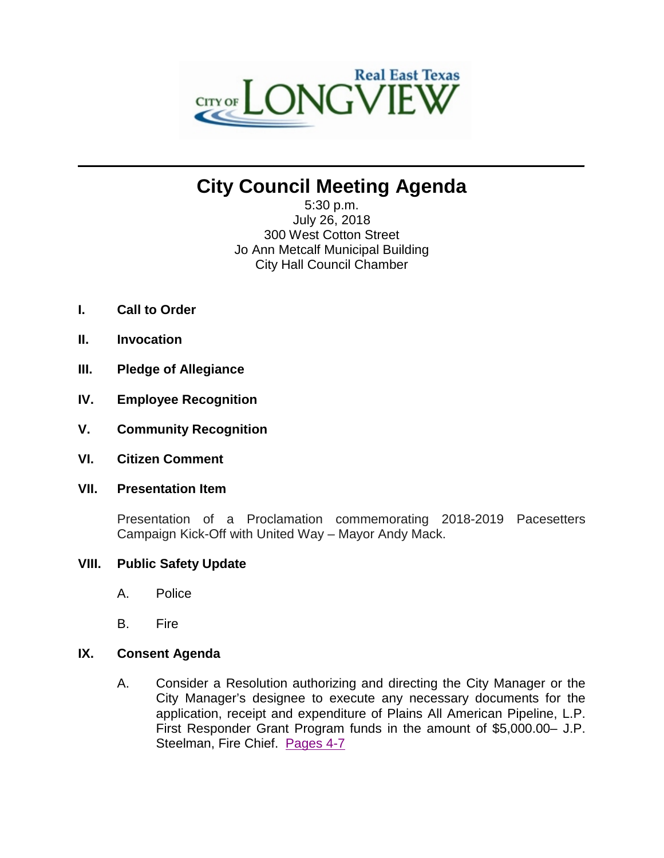

# **City Council Meeting Agenda**

 $\mathcal{L}_\mathcal{L} = \mathcal{L}_\mathcal{L}$  , where  $\mathcal{L}_\mathcal{L} = \mathcal{L}_\mathcal{L}$  ,  $\mathcal{L}_\mathcal{L} = \mathcal{L}_\mathcal{L}$  ,  $\mathcal{L}_\mathcal{L} = \mathcal{L}_\mathcal{L}$  ,  $\mathcal{L}_\mathcal{L} = \mathcal{L}_\mathcal{L}$ 

5:30 p.m. July 26, 2018 300 West Cotton Street Jo Ann Metcalf Municipal Building City Hall Council Chamber

- **I. Call to Order**
- **II. Invocation**
- **III. Pledge of Allegiance**
- **IV. Employee Recognition**
- **V. Community Recognition**
- **VI. Citizen Comment**
- **VII. Presentation Item**

Presentation of a Proclamation commemorating 2018-2019 Pacesetters Campaign Kick-Off with United Way – Mayor Andy Mack.

### **VIII. Public Safety Update**

- A. Police
- B. Fire

### **IX. Consent Agenda**

A. Consider a Resolution authorizing and directing the City Manager or the City Manager's designee to execute any necessary documents for the application, receipt and expenditure of Plains All American Pipeline, L.P. First Responder Grant Program funds in the amount of \$5,000.00– J.P. Steelman, Fire Chief. [Pages 4-7](#page-3-0)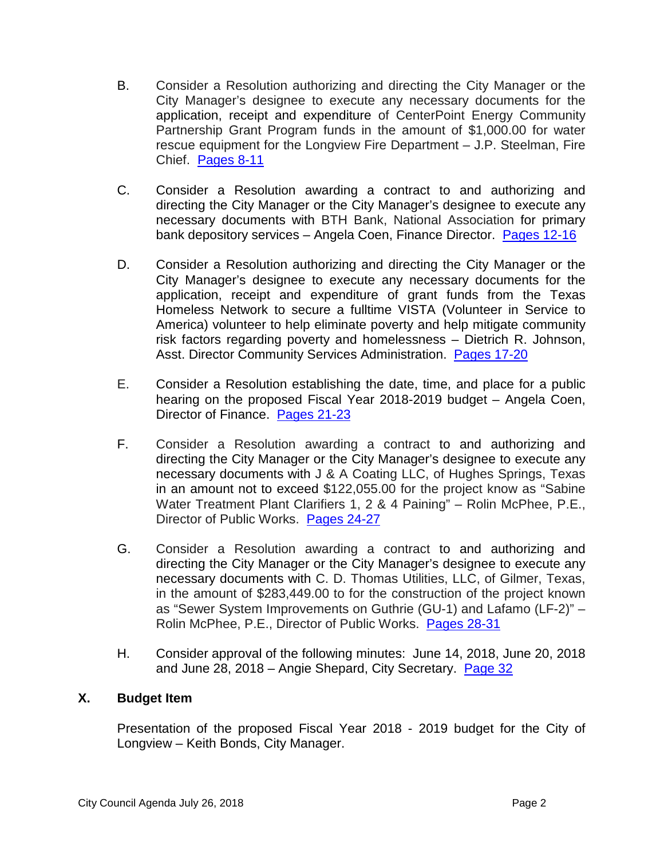- B. Consider a Resolution authorizing and directing the City Manager or the City Manager's designee to execute any necessary documents for the application, receipt and expenditure of CenterPoint Energy Community Partnership Grant Program funds in the amount of \$1,000.00 for water rescue equipment for the Longview Fire Department – J.P. Steelman, Fire Chief. [Pages 8-11](#page-7-0)
- C. Consider a Resolution awarding a contract to and authorizing and directing the City Manager or the City Manager's designee to execute any necessary documents with BTH Bank, National Association for primary bank depository services – Angela Coen, Finance Director. [Pages 12-16](#page-11-0)
- D. Consider a Resolution authorizing and directing the City Manager or the City Manager's designee to execute any necessary documents for the application, receipt and expenditure of grant funds from the Texas Homeless Network to secure a fulltime VISTA (Volunteer in Service to America) volunteer to help eliminate poverty and help mitigate community risk factors regarding poverty and homelessness – Dietrich R. Johnson, Asst. Director Community Services Administration. [Pages 17-20](#page-16-0)
- E. Consider a Resolution establishing the date, time, and place for a public hearing on the proposed Fiscal Year 2018-2019 budget – Angela Coen, Director of Finance. [Pages 21-23](#page-20-0)
- F. Consider a Resolution awarding a contract to and authorizing and directing the City Manager or the City Manager's designee to execute any necessary documents with J & A Coating LLC, of Hughes Springs, Texas in an amount not to exceed \$122,055.00 for the project know as "Sabine Water Treatment Plant Clarifiers 1, 2 & 4 Paining" – Rolin McPhee, P.E., Director of Public Works. [Pages 24-27](#page-23-0)
- G. Consider a Resolution awarding a contract to and authorizing and directing the City Manager or the City Manager's designee to execute any necessary documents with C. D. Thomas Utilities, LLC, of Gilmer, Texas, in the amount of \$283,449.00 to for the construction of the project known as "Sewer System Improvements on Guthrie (GU-1) and Lafamo (LF-2)" – Rolin McPhee, P.E., Director of Public Works. [Pages 28-31](#page-27-0)
- H. Consider approval of the following minutes: June 14, 2018, June 20, 2018 and June 28, 2018 – Angie Shepard, City Secretary. [Page 32](#page-31-0)

### **X. Budget Item**

Presentation of the proposed Fiscal Year 2018 - 2019 budget for the City of Longview – Keith Bonds, City Manager.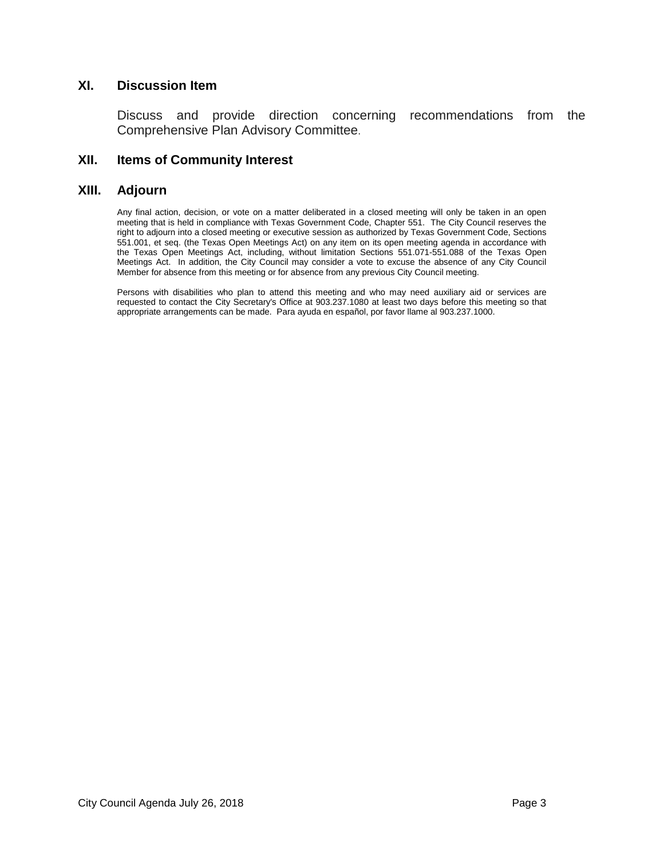### **XI. Discussion Item**

Discuss and provide direction concerning recommendations from the Comprehensive Plan Advisory Committee.

### **XII. Items of Community Interest**

### **XIII. Adjourn**

Any final action, decision, or vote on a matter deliberated in a closed meeting will only be taken in an open meeting that is held in compliance with Texas Government Code, Chapter 551. The City Council reserves the right to adjourn into a closed meeting or executive session as authorized by Texas Government Code, Sections 551.001, et seq. (the Texas Open Meetings Act) on any item on its open meeting agenda in accordance with the Texas Open Meetings Act, including, without limitation Sections 551.071-551.088 of the Texas Open Meetings Act. In addition, the City Council may consider a vote to excuse the absence of any City Council Member for absence from this meeting or for absence from any previous City Council meeting.

Persons with disabilities who plan to attend this meeting and who may need auxiliary aid or services are requested to contact the City Secretary's Office at 903.237.1080 at least two days before this meeting so that appropriate arrangements can be made. Para ayuda en español, por favor llame al 903.237.1000.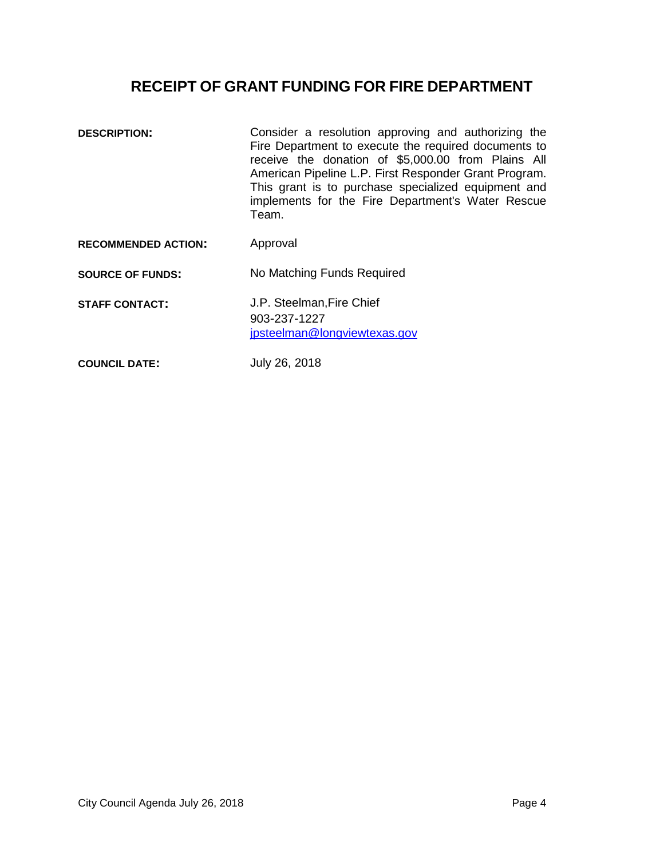## **RECEIPT OF GRANT FUNDING FOR FIRE DEPARTMENT**

<span id="page-3-0"></span>

| <b>DESCRIPTION:</b>        | Consider a resolution approving and authorizing the<br>Fire Department to execute the required documents to<br>receive the donation of \$5,000.00 from Plains All<br>American Pipeline L.P. First Responder Grant Program.<br>This grant is to purchase specialized equipment and<br>implements for the Fire Department's Water Rescue<br>Team. |
|----------------------------|-------------------------------------------------------------------------------------------------------------------------------------------------------------------------------------------------------------------------------------------------------------------------------------------------------------------------------------------------|
| <b>RECOMMENDED ACTION:</b> | Approval                                                                                                                                                                                                                                                                                                                                        |
| <b>SOURCE OF FUNDS:</b>    | No Matching Funds Required                                                                                                                                                                                                                                                                                                                      |
| <b>STAFF CONTACT:</b>      | J.P. Steelman, Fire Chief<br>903-237-1227<br>jpsteelman@longviewtexas.gov                                                                                                                                                                                                                                                                       |
| <b>COUNCIL DATE:</b>       | July 26, 2018                                                                                                                                                                                                                                                                                                                                   |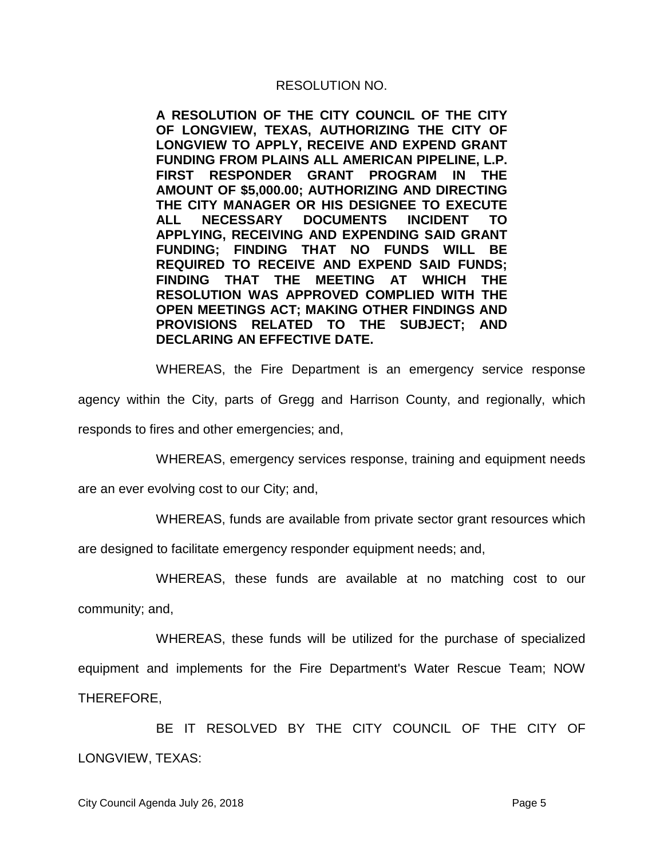**A RESOLUTION OF THE CITY COUNCIL OF THE CITY OF LONGVIEW, TEXAS, AUTHORIZING THE CITY OF LONGVIEW TO APPLY, RECEIVE AND EXPEND GRANT FUNDING FROM PLAINS ALL AMERICAN PIPELINE, L.P. FIRST RESPONDER GRANT PROGRAM IN THE AMOUNT OF \$5,000.00; AUTHORIZING AND DIRECTING THE CITY MANAGER OR HIS DESIGNEE TO EXECUTE ALL NECESSARY DOCUMENTS INCIDENT TO APPLYING, RECEIVING AND EXPENDING SAID GRANT FUNDING; FINDING THAT NO FUNDS WILL BE REQUIRED TO RECEIVE AND EXPEND SAID FUNDS; FINDING THAT THE MEETING AT WHICH THE RESOLUTION WAS APPROVED COMPLIED WITH THE OPEN MEETINGS ACT; MAKING OTHER FINDINGS AND PROVISIONS RELATED TO THE SUBJECT; AND DECLARING AN EFFECTIVE DATE.**

WHEREAS, the Fire Department is an emergency service response

agency within the City, parts of Gregg and Harrison County, and regionally, which

responds to fires and other emergencies; and,

WHEREAS, emergency services response, training and equipment needs

are an ever evolving cost to our City; and,

WHEREAS, funds are available from private sector grant resources which

are designed to facilitate emergency responder equipment needs; and,

WHEREAS, these funds are available at no matching cost to our

community; and,

WHEREAS, these funds will be utilized for the purchase of specialized equipment and implements for the Fire Department's Water Rescue Team; NOW THEREFORE,

BE IT RESOLVED BY THE CITY COUNCIL OF THE CITY OF LONGVIEW, TEXAS: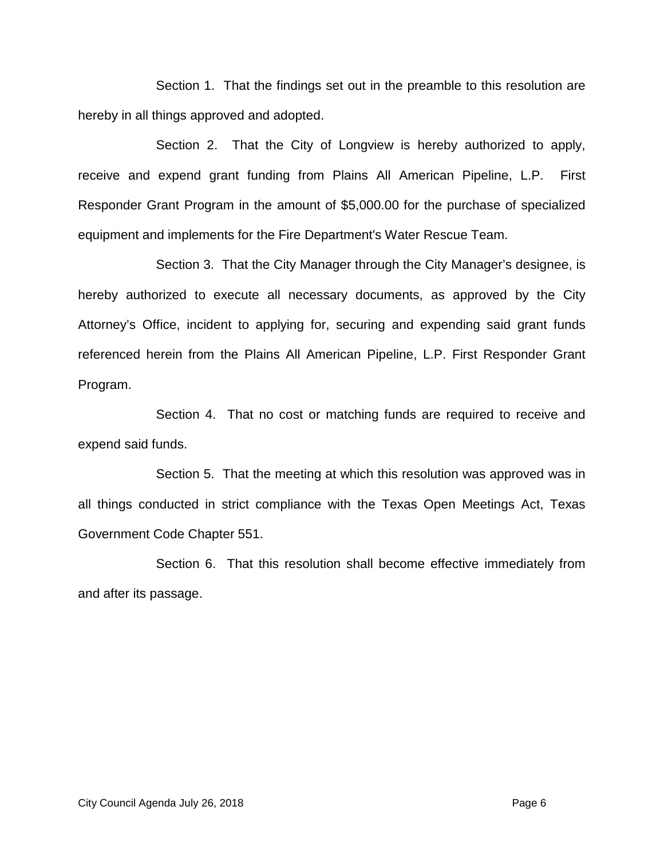Section 1. That the findings set out in the preamble to this resolution are hereby in all things approved and adopted.

Section 2. That the City of Longview is hereby authorized to apply, receive and expend grant funding from Plains All American Pipeline, L.P. First Responder Grant Program in the amount of \$5,000.00 for the purchase of specialized equipment and implements for the Fire Department's Water Rescue Team.

Section 3. That the City Manager through the City Manager's designee, is hereby authorized to execute all necessary documents, as approved by the City Attorney's Office, incident to applying for, securing and expending said grant funds referenced herein from the Plains All American Pipeline, L.P. First Responder Grant Program.

Section 4. That no cost or matching funds are required to receive and expend said funds.

Section 5. That the meeting at which this resolution was approved was in all things conducted in strict compliance with the Texas Open Meetings Act, Texas Government Code Chapter 551.

Section 6. That this resolution shall become effective immediately from and after its passage.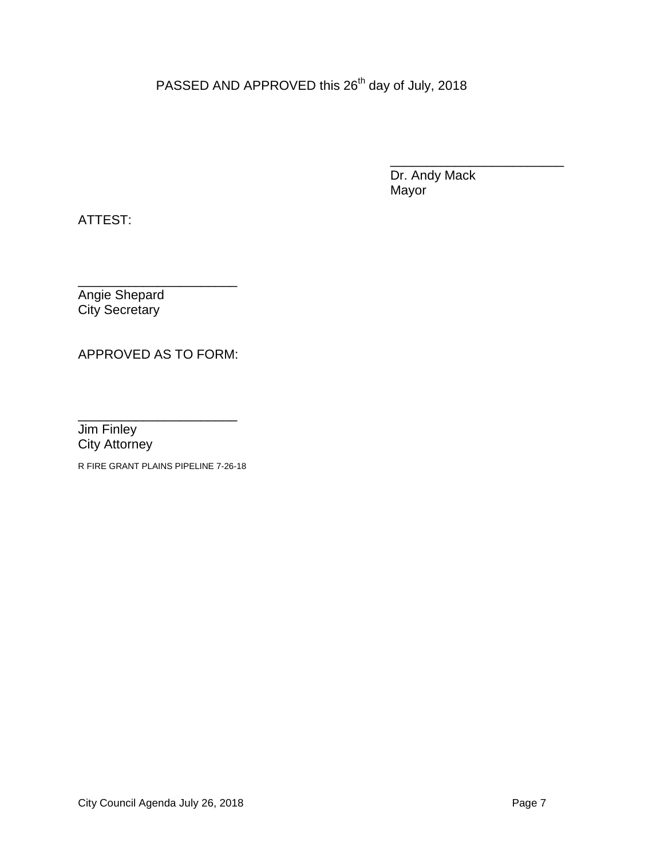PASSED AND APPROVED this 26<sup>th</sup> day of July, 2018

\_\_\_\_\_\_\_\_\_\_\_\_\_\_\_\_\_\_\_\_\_\_\_\_ Dr. Andy Mack Mayor

ATTEST:

\_\_\_\_\_\_\_\_\_\_\_\_\_\_\_\_\_\_\_\_\_\_ Angie Shepard City Secretary

APPROVED AS TO FORM:

\_\_\_\_\_\_\_\_\_\_\_\_\_\_\_\_\_\_\_\_\_\_ Jim Finley City Attorney

R FIRE GRANT PLAINS PIPELINE 7-26-18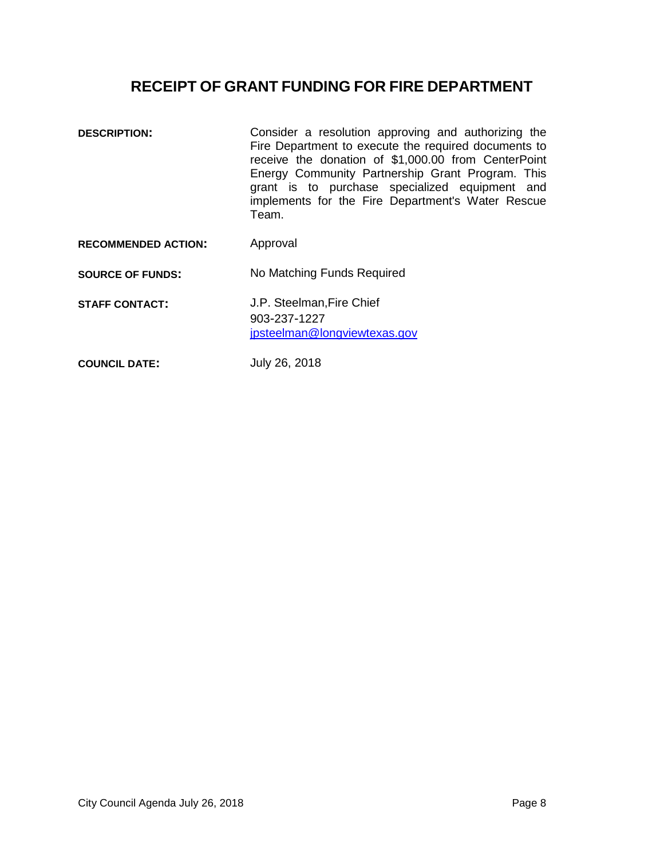## **RECEIPT OF GRANT FUNDING FOR FIRE DEPARTMENT**

<span id="page-7-0"></span>**DESCRIPTION:** Consider a resolution approving and authorizing the Fire Department to execute the required documents to receive the donation of \$1,000.00 from CenterPoint Energy Community Partnership Grant Program. This grant is to purchase specialized equipment and implements for the Fire Department's Water Rescue Team. **RECOMMENDED ACTION:** Approval **SOURCE OF FUNDS:** No Matching Funds Required **STAFF CONTACT:** J.P. Steelman,Fire Chief 903-237-1227 jpsteelman@longviewtexas.gov **COUNCIL DATE:** July 26, 2018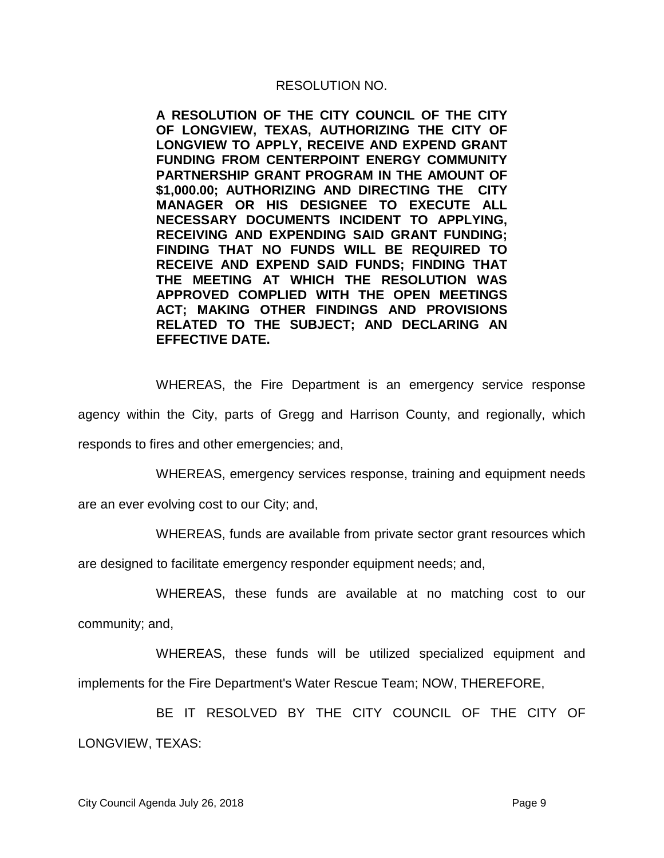**A RESOLUTION OF THE CITY COUNCIL OF THE CITY OF LONGVIEW, TEXAS, AUTHORIZING THE CITY OF LONGVIEW TO APPLY, RECEIVE AND EXPEND GRANT FUNDING FROM CENTERPOINT ENERGY COMMUNITY PARTNERSHIP GRANT PROGRAM IN THE AMOUNT OF \$1,000.00; AUTHORIZING AND DIRECTING THE CITY MANAGER OR HIS DESIGNEE TO EXECUTE ALL NECESSARY DOCUMENTS INCIDENT TO APPLYING, RECEIVING AND EXPENDING SAID GRANT FUNDING; FINDING THAT NO FUNDS WILL BE REQUIRED TO RECEIVE AND EXPEND SAID FUNDS; FINDING THAT THE MEETING AT WHICH THE RESOLUTION WAS APPROVED COMPLIED WITH THE OPEN MEETINGS ACT; MAKING OTHER FINDINGS AND PROVISIONS RELATED TO THE SUBJECT; AND DECLARING AN EFFECTIVE DATE.**

WHEREAS, the Fire Department is an emergency service response

agency within the City, parts of Gregg and Harrison County, and regionally, which

responds to fires and other emergencies; and,

WHEREAS, emergency services response, training and equipment needs

are an ever evolving cost to our City; and,

WHEREAS, funds are available from private sector grant resources which

are designed to facilitate emergency responder equipment needs; and,

WHEREAS, these funds are available at no matching cost to our

community; and,

WHEREAS, these funds will be utilized specialized equipment and implements for the Fire Department's Water Rescue Team; NOW, THEREFORE,

BE IT RESOLVED BY THE CITY COUNCIL OF THE CITY OF LONGVIEW, TEXAS: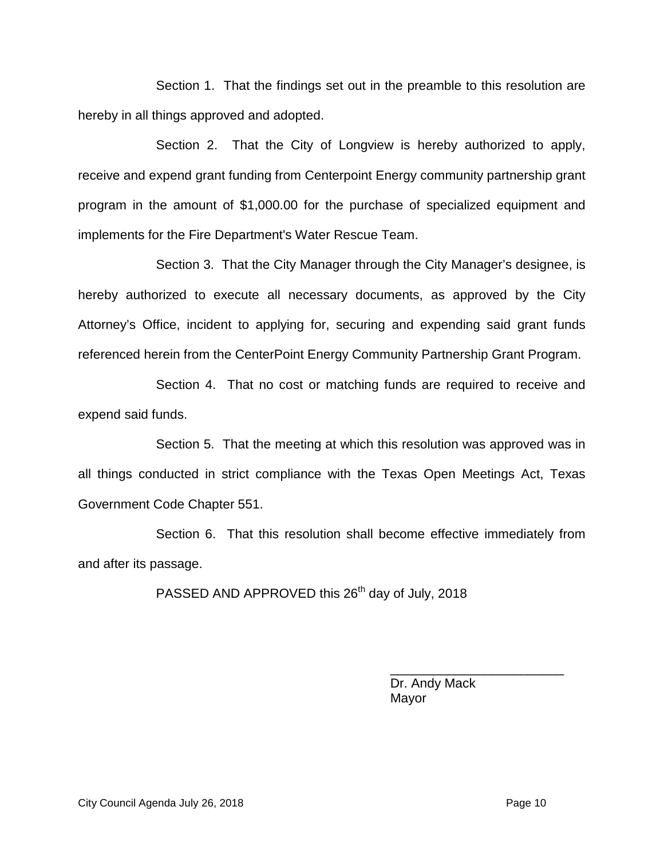Section 1. That the findings set out in the preamble to this resolution are hereby in all things approved and adopted.

Section 2. That the City of Longview is hereby authorized to apply, receive and expend grant funding from Centerpoint Energy community partnership grant program in the amount of \$1,000.00 for the purchase of specialized equipment and implements for the Fire Department's Water Rescue Team.

Section 3. That the City Manager through the City Manager's designee, is hereby authorized to execute all necessary documents, as approved by the City Attorney's Office, incident to applying for, securing and expending said grant funds referenced herein from the CenterPoint Energy Community Partnership Grant Program.

Section 4. That no cost or matching funds are required to receive and expend said funds.

Section 5. That the meeting at which this resolution was approved was in all things conducted in strict compliance with the Texas Open Meetings Act, Texas Government Code Chapter 551.

Section 6. That this resolution shall become effective immediately from and after its passage.

PASSED AND APPROVED this 26<sup>th</sup> day of July, 2018

Dr. Andy Mack Mayor

\_\_\_\_\_\_\_\_\_\_\_\_\_\_\_\_\_\_\_\_\_\_\_\_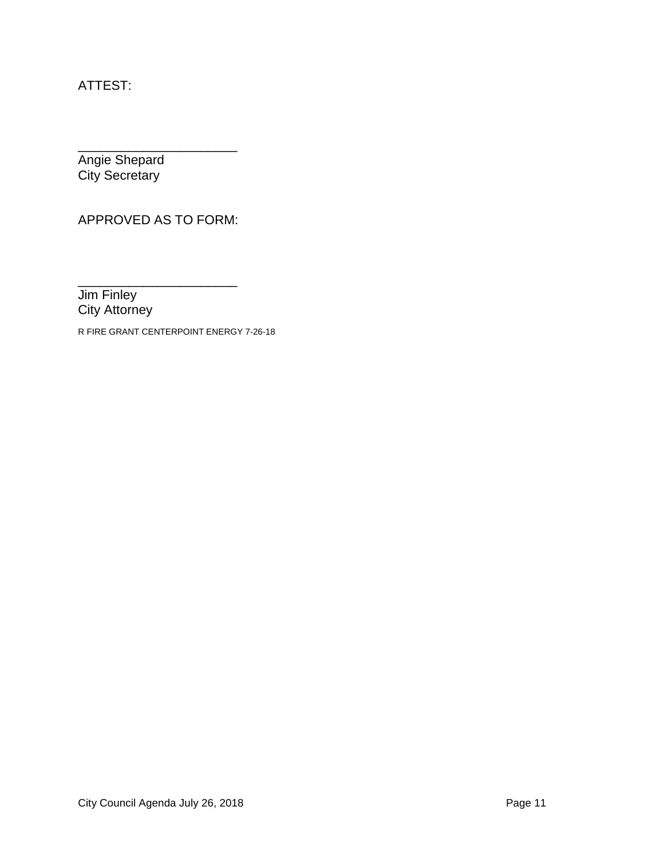ATTEST:

\_\_\_\_\_\_\_\_\_\_\_\_\_\_\_\_\_\_\_\_\_\_ Angie Shepard City Secretary

APPROVED AS TO FORM:

\_\_\_\_\_\_\_\_\_\_\_\_\_\_\_\_\_\_\_\_\_\_ Jim Finley City Attorney

R FIRE GRANT CENTERPOINT ENERGY 7-26-18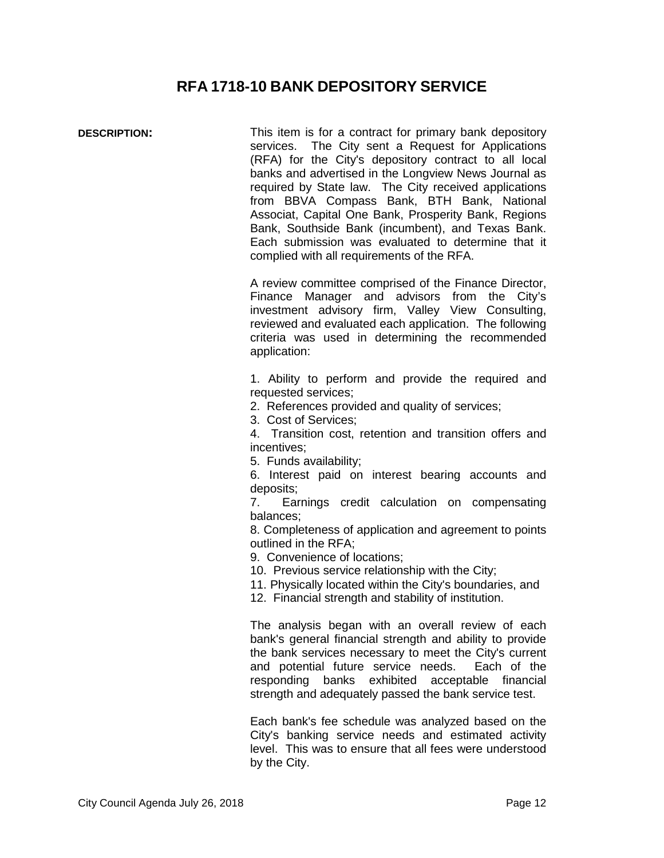### **RFA 1718-10 BANK DEPOSITORY SERVICE**

<span id="page-11-0"></span>**DESCRIPTION:** This item is for a contract for primary bank depository services. The City sent a Request for Applications (RFA) for the City's depository contract to all local banks and advertised in the Longview News Journal as required by State law. The City received applications from BBVA Compass Bank, BTH Bank, National Associat, Capital One Bank, Prosperity Bank, Regions Bank, Southside Bank (incumbent), and Texas Bank. Each submission was evaluated to determine that it complied with all requirements of the RFA.

> A review committee comprised of the Finance Director, Finance Manager and advisors from the City's investment advisory firm, Valley View Consulting, reviewed and evaluated each application. The following criteria was used in determining the recommended application:

> 1. Ability to perform and provide the required and requested services;

2. References provided and quality of services;

3. Cost of Services;

4. Transition cost, retention and transition offers and incentives;

5. Funds availability;

6. Interest paid on interest bearing accounts and deposits;

7. Earnings credit calculation on compensating balances;

8. Completeness of application and agreement to points outlined in the RFA;

9. Convenience of locations;

10. Previous service relationship with the City;

11. Physically located within the City's boundaries, and

12. Financial strength and stability of institution.

The analysis began with an overall review of each bank's general financial strength and ability to provide the bank services necessary to meet the City's current and potential future service needs. Each of the responding banks exhibited acceptable financial strength and adequately passed the bank service test.

Each bank's fee schedule was analyzed based on the City's banking service needs and estimated activity level. This was to ensure that all fees were understood by the City.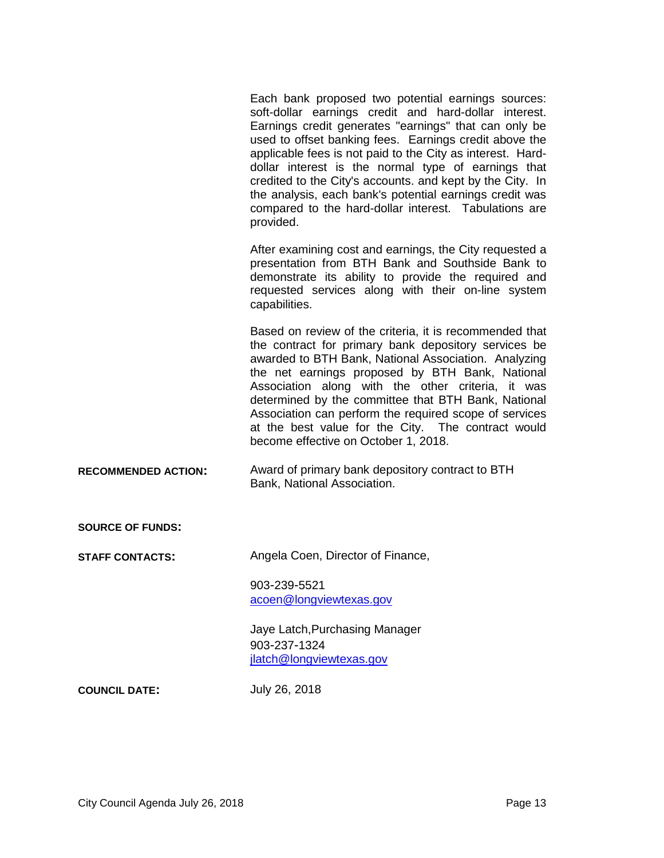Each bank proposed two potential earnings sources: soft-dollar earnings credit and hard-dollar interest. Earnings credit generates "earnings" that can only be used to offset banking fees. Earnings credit above the applicable fees is not paid to the City as interest. Harddollar interest is the normal type of earnings that credited to the City's accounts. and kept by the City. In the analysis, each bank's potential earnings credit was compared to the hard-dollar interest. Tabulations are provided.

After examining cost and earnings, the City requested a presentation from BTH Bank and Southside Bank to demonstrate its ability to provide the required and requested services along with their on-line system capabilities.

Based on review of the criteria, it is recommended that the contract for primary bank depository services be awarded to BTH Bank, National Association. Analyzing the net earnings proposed by BTH Bank, National Association along with the other criteria, it was determined by the committee that BTH Bank, National Association can perform the required scope of services at the best value for the City. The contract would become effective on October 1, 2018.

**RECOMMENDED ACTION:** Award of primary bank depository contract to BTH Bank, National Association.

**SOURCE OF FUNDS:**

**STAFF CONTACTS:** Angela Coen, Director of Finance,

903-239-5521 acoen@longviewtexas.gov

Jaye Latch,Purchasing Manager 903-237-1324 jlatch@longviewtexas.gov

**COUNCIL DATE:** July 26, 2018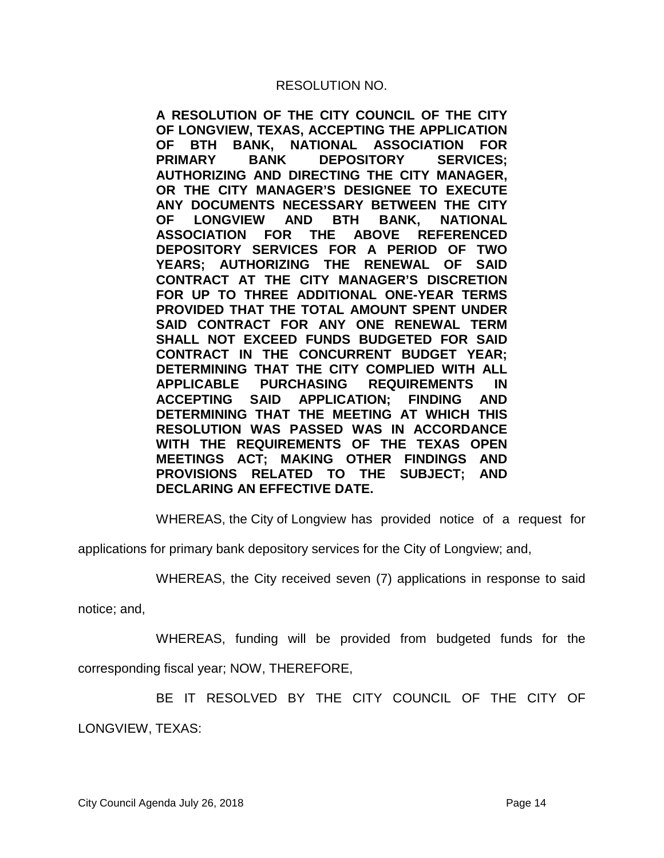**A RESOLUTION OF THE CITY COUNCIL OF THE CITY OF LONGVIEW, TEXAS, ACCEPTING THE APPLICATION OF BTH BANK, NATIONAL ASSOCIATION FOR PRIMARY BANK DEPOSITORY SERVICES; AUTHORIZING AND DIRECTING THE CITY MANAGER, OR THE CITY MANAGER'S DESIGNEE TO EXECUTE ANY DOCUMENTS NECESSARY BETWEEN THE CITY OF LONGVIEW AND BTH BANK, NATIONAL ASSOCIATION FOR THE ABOVE REFERENCED DEPOSITORY SERVICES FOR A PERIOD OF TWO YEARS; AUTHORIZING THE RENEWAL OF SAID CONTRACT AT THE CITY MANAGER'S DISCRETION FOR UP TO THREE ADDITIONAL ONE-YEAR TERMS PROVIDED THAT THE TOTAL AMOUNT SPENT UNDER SAID CONTRACT FOR ANY ONE RENEWAL TERM SHALL NOT EXCEED FUNDS BUDGETED FOR SAID CONTRACT IN THE CONCURRENT BUDGET YEAR; DETERMINING THAT THE CITY COMPLIED WITH ALL APPLICABLE PURCHASING REQUIREMENTS IN**  SAID APPLICATION; FINDING AND **DETERMINING THAT THE MEETING AT WHICH THIS RESOLUTION WAS PASSED WAS IN ACCORDANCE WITH THE REQUIREMENTS OF THE TEXAS OPEN MEETINGS ACT; MAKING OTHER FINDINGS AND PROVISIONS RELATED TO THE SUBJECT; AND DECLARING AN EFFECTIVE DATE.**

WHEREAS, the City of Longview has provided notice of a request for

applications for primary bank depository services for the City of Longview; and,

WHEREAS, the City received seven (7) applications in response to said

notice; and,

WHEREAS, funding will be provided from budgeted funds for the

corresponding fiscal year; NOW, THEREFORE,

BE IT RESOLVED BY THE CITY COUNCIL OF THE CITY OF

LONGVIEW, TEXAS: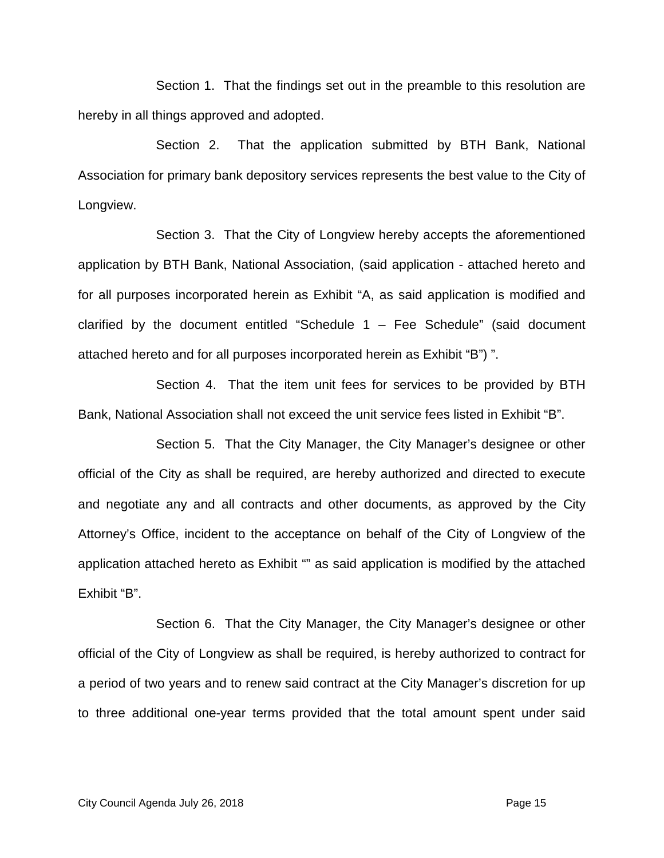Section 1. That the findings set out in the preamble to this resolution are hereby in all things approved and adopted.

Section 2. That the application submitted by BTH Bank, National Association for primary bank depository services represents the best value to the City of Longview.

Section 3. That the City of Longview hereby accepts the aforementioned application by BTH Bank, National Association, (said application - attached hereto and for all purposes incorporated herein as Exhibit "A, as said application is modified and clarified by the document entitled "Schedule  $1 -$  Fee Schedule" (said document attached hereto and for all purposes incorporated herein as Exhibit "B") ".

Section 4. That the item unit fees for services to be provided by BTH Bank, National Association shall not exceed the unit service fees listed in Exhibit "B".

Section 5. That the City Manager, the City Manager's designee or other official of the City as shall be required, are hereby authorized and directed to execute and negotiate any and all contracts and other documents, as approved by the City Attorney's Office, incident to the acceptance on behalf of the City of Longview of the application attached hereto as Exhibit "" as said application is modified by the attached Exhibit "B".

Section 6. That the City Manager, the City Manager's designee or other official of the City of Longview as shall be required, is hereby authorized to contract for a period of two years and to renew said contract at the City Manager's discretion for up to three additional one-year terms provided that the total amount spent under said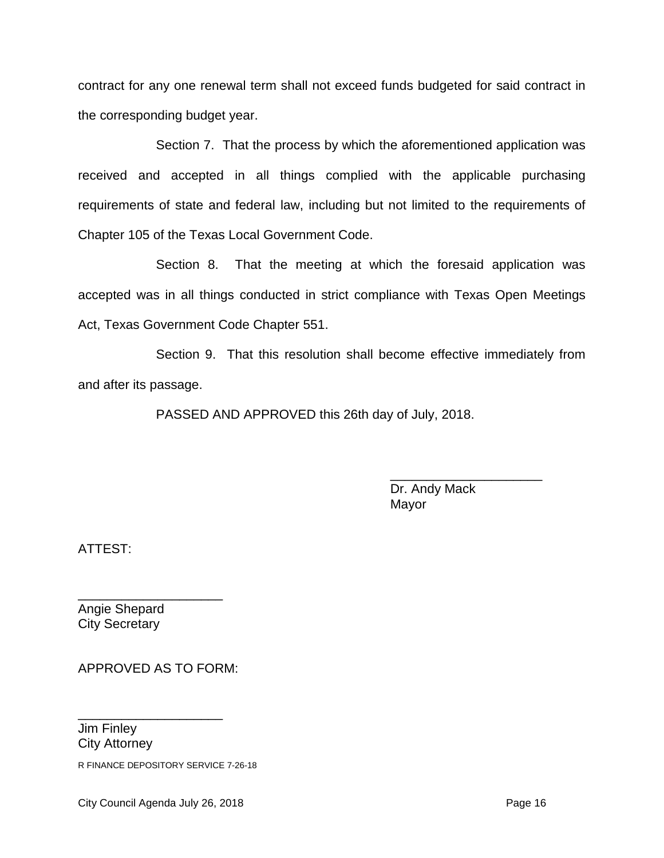contract for any one renewal term shall not exceed funds budgeted for said contract in the corresponding budget year.

Section 7. That the process by which the aforementioned application was received and accepted in all things complied with the applicable purchasing requirements of state and federal law, including but not limited to the requirements of Chapter 105 of the Texas Local Government Code.

Section 8. That the meeting at which the foresaid application was accepted was in all things conducted in strict compliance with Texas Open Meetings Act, Texas Government Code Chapter 551.

Section 9. That this resolution shall become effective immediately from and after its passage.

PASSED AND APPROVED this 26th day of July, 2018.

\_\_\_\_\_\_\_\_\_\_\_\_\_\_\_\_\_\_\_\_\_ Dr. Andy Mack Mayor

ATTEST:

\_\_\_\_\_\_\_\_\_\_\_\_\_\_\_\_\_\_\_\_ Angie Shepard City Secretary

APPROVED AS TO FORM:

\_\_\_\_\_\_\_\_\_\_\_\_\_\_\_\_\_\_\_\_ Jim Finley City Attorney

R FINANCE DEPOSITORY SERVICE 7-26-18

City Council Agenda July 26, 2018 **Page 16 Page 16 Page 16**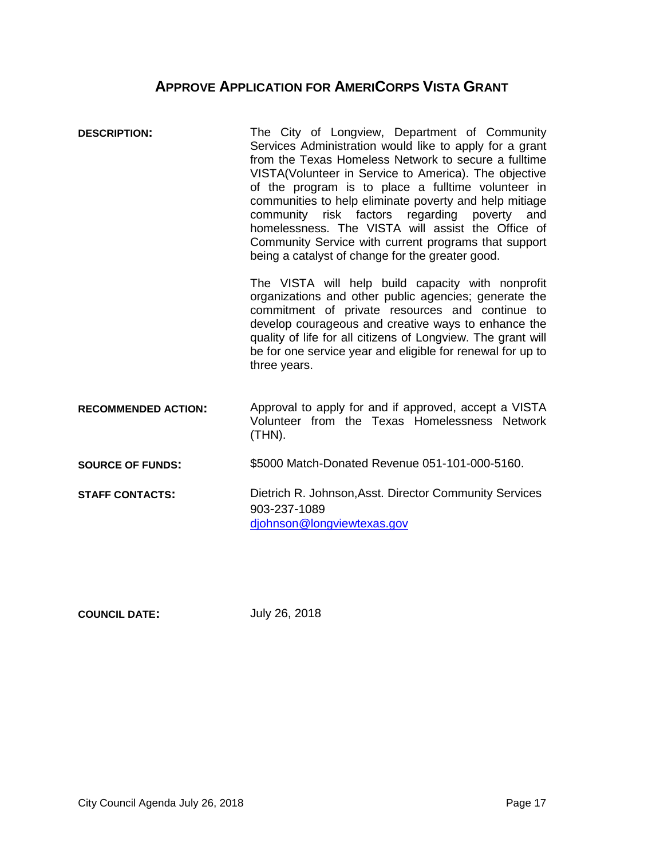## **APPROVE APPLICATION FOR AMERICORPS VISTA GRANT**

<span id="page-16-0"></span>

| <b>DESCRIPTION:</b>        | The City of Longview, Department of Community<br>Services Administration would like to apply for a grant<br>from the Texas Homeless Network to secure a fulltime<br>VISTA(Volunteer in Service to America). The objective<br>of the program is to place a fulltime volunteer in<br>communities to help eliminate poverty and help mitiage<br>community<br>risk factors regarding poverty and<br>homelessness. The VISTA will assist the Office of<br>Community Service with current programs that support<br>being a catalyst of change for the greater good. |  |
|----------------------------|---------------------------------------------------------------------------------------------------------------------------------------------------------------------------------------------------------------------------------------------------------------------------------------------------------------------------------------------------------------------------------------------------------------------------------------------------------------------------------------------------------------------------------------------------------------|--|
|                            | The VISTA will help build capacity with nonprofit<br>organizations and other public agencies; generate the<br>commitment of private resources and continue to<br>develop courageous and creative ways to enhance the<br>quality of life for all citizens of Longview. The grant will<br>be for one service year and eligible for renewal for up to<br>three years.                                                                                                                                                                                            |  |
| <b>RECOMMENDED ACTION:</b> | Approval to apply for and if approved, accept a VISTA<br>Volunteer from the Texas Homelessness Network<br>$(THN)$ .                                                                                                                                                                                                                                                                                                                                                                                                                                           |  |
| <b>SOURCE OF FUNDS:</b>    | \$5000 Match-Donated Revenue 051-101-000-5160.                                                                                                                                                                                                                                                                                                                                                                                                                                                                                                                |  |
| <b>STAFF CONTACTS:</b>     | Dietrich R. Johnson, Asst. Director Community Services<br>903-237-1089<br>diohnson@longviewtexas.gov                                                                                                                                                                                                                                                                                                                                                                                                                                                          |  |

**COUNCIL DATE:** July 26, 2018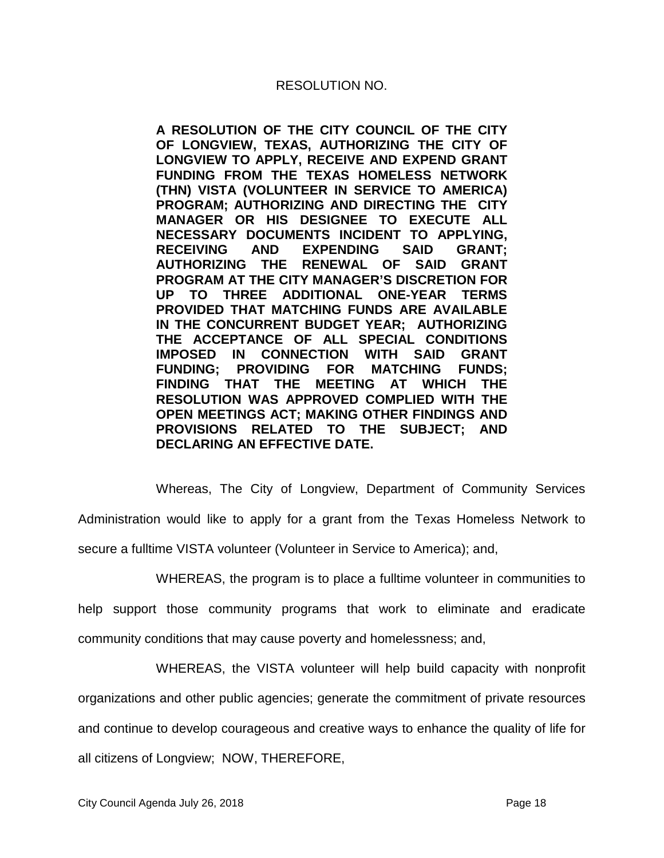**A RESOLUTION OF THE CITY COUNCIL OF THE CITY OF LONGVIEW, TEXAS, AUTHORIZING THE CITY OF LONGVIEW TO APPLY, RECEIVE AND EXPEND GRANT FUNDING FROM THE TEXAS HOMELESS NETWORK (THN) VISTA (VOLUNTEER IN SERVICE TO AMERICA) PROGRAM; AUTHORIZING AND DIRECTING THE CITY MANAGER OR HIS DESIGNEE TO EXECUTE ALL NECESSARY DOCUMENTS INCIDENT TO APPLYING, EXPENDING SAID GRANT: AUTHORIZING THE RENEWAL OF SAID GRANT PROGRAM AT THE CITY MANAGER'S DISCRETION FOR UP TO THREE ADDITIONAL ONE-YEAR TERMS PROVIDED THAT MATCHING FUNDS ARE AVAILABLE IN THE CONCURRENT BUDGET YEAR; AUTHORIZING THE ACCEPTANCE OF ALL SPECIAL CONDITIONS IMPOSED IN CONNECTION WITH SAID GRANT FUNDING; PROVIDING FOR MATCHING FUNDS; FINDING THAT THE MEETING AT WHICH THE RESOLUTION WAS APPROVED COMPLIED WITH THE OPEN MEETINGS ACT; MAKING OTHER FINDINGS AND PROVISIONS RELATED TO THE SUBJECT; AND DECLARING AN EFFECTIVE DATE.**

Whereas, The City of Longview, Department of Community Services Administration would like to apply for a grant from the Texas Homeless Network to secure a fulltime VISTA volunteer (Volunteer in Service to America); and,

WHEREAS, the program is to place a fulltime volunteer in communities to

help support those community programs that work to eliminate and eradicate community conditions that may cause poverty and homelessness; and,

WHEREAS, the VISTA volunteer will help build capacity with nonprofit

organizations and other public agencies; generate the commitment of private resources

and continue to develop courageous and creative ways to enhance the quality of life for

all citizens of Longview; NOW, THEREFORE,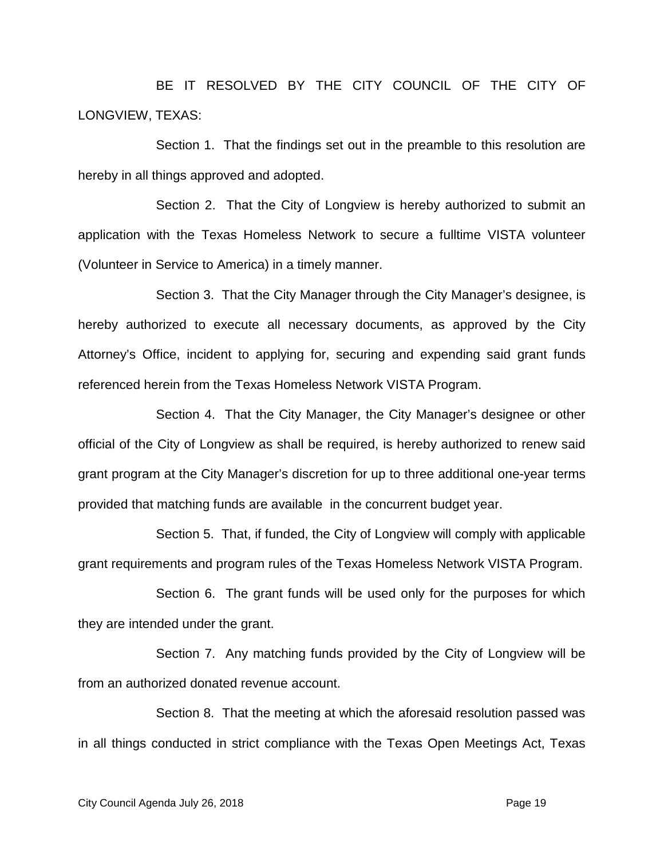BE IT RESOLVED BY THE CITY COUNCIL OF THE CITY OF LONGVIEW, TEXAS:

Section 1. That the findings set out in the preamble to this resolution are hereby in all things approved and adopted.

Section 2. That the City of Longview is hereby authorized to submit an application with the Texas Homeless Network to secure a fulltime VISTA volunteer (Volunteer in Service to America) in a timely manner.

Section 3. That the City Manager through the City Manager's designee, is hereby authorized to execute all necessary documents, as approved by the City Attorney's Office, incident to applying for, securing and expending said grant funds referenced herein from the Texas Homeless Network VISTA Program.

Section 4. That the City Manager, the City Manager's designee or other official of the City of Longview as shall be required, is hereby authorized to renew said grant program at the City Manager's discretion for up to three additional one-year terms provided that matching funds are available in the concurrent budget year.

Section 5. That, if funded, the City of Longview will comply with applicable grant requirements and program rules of the Texas Homeless Network VISTA Program.

Section 6. The grant funds will be used only for the purposes for which they are intended under the grant.

Section 7. Any matching funds provided by the City of Longview will be from an authorized donated revenue account.

Section 8. That the meeting at which the aforesaid resolution passed was in all things conducted in strict compliance with the Texas Open Meetings Act, Texas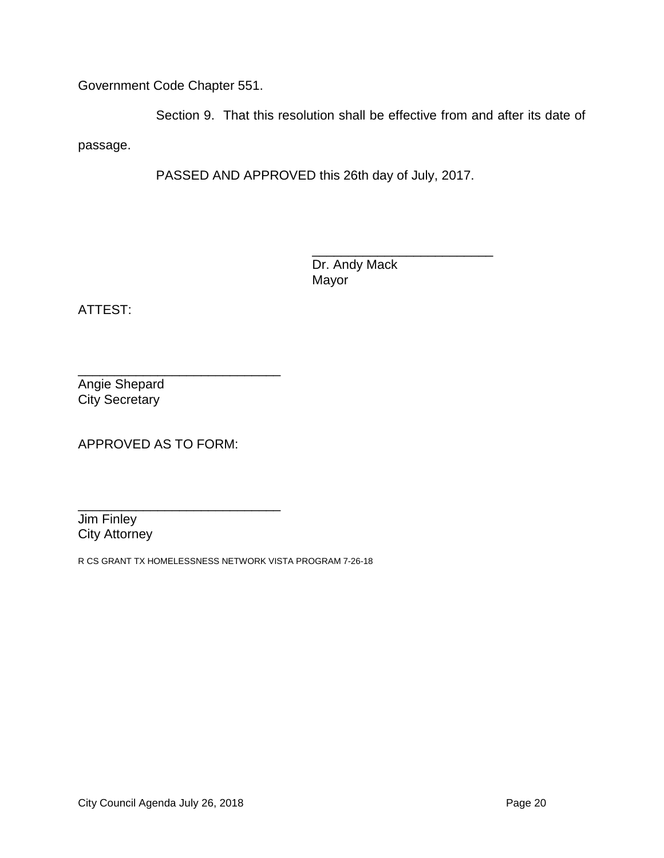Government Code Chapter 551.

Section 9. That this resolution shall be effective from and after its date of passage.

PASSED AND APPROVED this 26th day of July, 2017.

\_\_\_\_\_\_\_\_\_\_\_\_\_\_\_\_\_\_\_\_\_\_\_\_\_ Dr. Andy Mack Mayor

ATTEST:

\_\_\_\_\_\_\_\_\_\_\_\_\_\_\_\_\_\_\_\_\_\_\_\_\_\_\_\_ Angie Shepard City Secretary

APPROVED AS TO FORM:

\_\_\_\_\_\_\_\_\_\_\_\_\_\_\_\_\_\_\_\_\_\_\_\_\_\_\_\_ Jim Finley City Attorney

R CS GRANT TX HOMELESSNESS NETWORK VISTA PROGRAM 7-26-18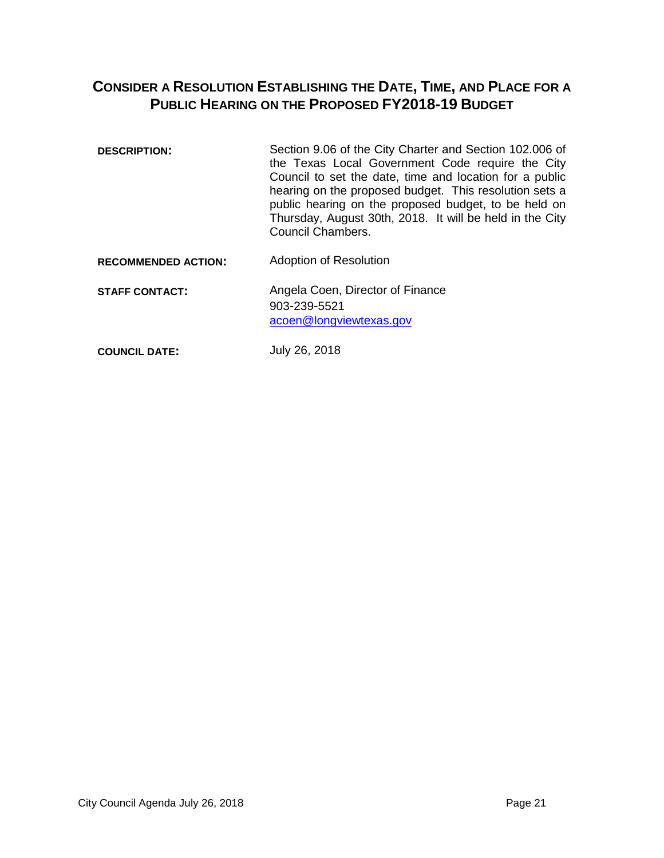## <span id="page-20-0"></span>**CONSIDER A RESOLUTION ESTABLISHING THE DATE, TIME, AND PLACE FOR A PUBLIC HEARING ON THE PROPOSED FY2018-19 BUDGET**

- **DESCRIPTION:** Section 9.06 of the City Charter and Section 102.006 of the Texas Local Government Code require the City Council to set the date, time and location for a public hearing on the proposed budget. This resolution sets a public hearing on the proposed budget, to be held on Thursday, August 30th, 2018. It will be held in the City Council Chambers.
- **RECOMMENDED ACTION:** Adoption of Resolution
- **STAFF CONTACT:** Angela Coen, Director of Finance 903-239-5521 acoen@longviewtexas.gov

**COUNCIL DATE:** July 26, 2018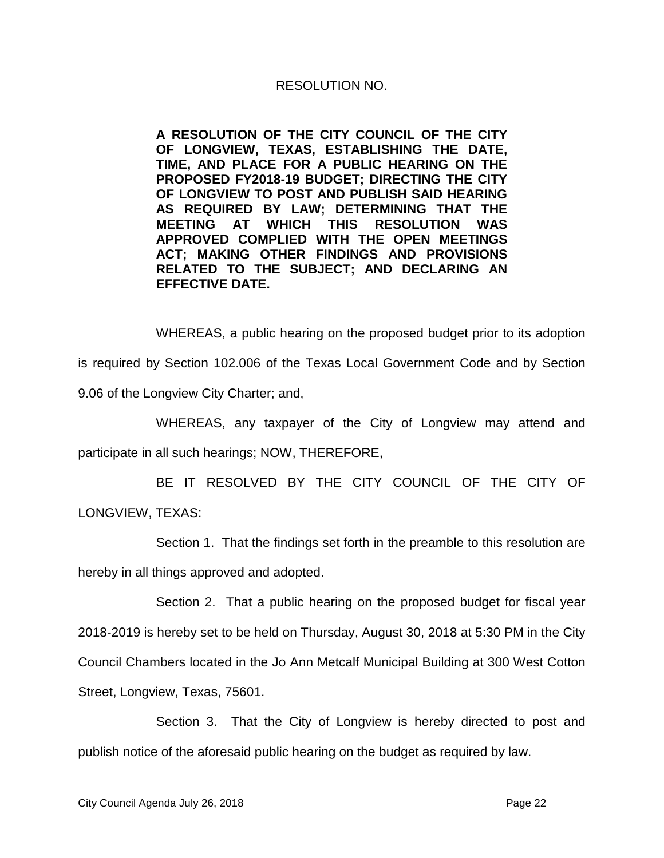**A RESOLUTION OF THE CITY COUNCIL OF THE CITY OF LONGVIEW, TEXAS, ESTABLISHING THE DATE, TIME, AND PLACE FOR A PUBLIC HEARING ON THE PROPOSED FY2018-19 BUDGET; DIRECTING THE CITY OF LONGVIEW TO POST AND PUBLISH SAID HEARING AS REQUIRED BY LAW; DETERMINING THAT THE MEETING AT WHICH THIS RESOLUTION WAS APPROVED COMPLIED WITH THE OPEN MEETINGS ACT; MAKING OTHER FINDINGS AND PROVISIONS RELATED TO THE SUBJECT; AND DECLARING AN EFFECTIVE DATE.**

WHEREAS, a public hearing on the proposed budget prior to its adoption is required by Section 102.006 of the Texas Local Government Code and by Section 9.06 of the Longview City Charter; and,

WHEREAS, any taxpayer of the City of Longview may attend and participate in all such hearings; NOW, THEREFORE,

BE IT RESOLVED BY THE CITY COUNCIL OF THE CITY OF LONGVIEW, TEXAS:

Section 1. That the findings set forth in the preamble to this resolution are hereby in all things approved and adopted.

Section 2. That a public hearing on the proposed budget for fiscal year 2018-2019 is hereby set to be held on Thursday, August 30, 2018 at 5:30 PM in the City Council Chambers located in the Jo Ann Metcalf Municipal Building at 300 West Cotton Street, Longview, Texas, 75601.

Section 3. That the City of Longview is hereby directed to post and publish notice of the aforesaid public hearing on the budget as required by law.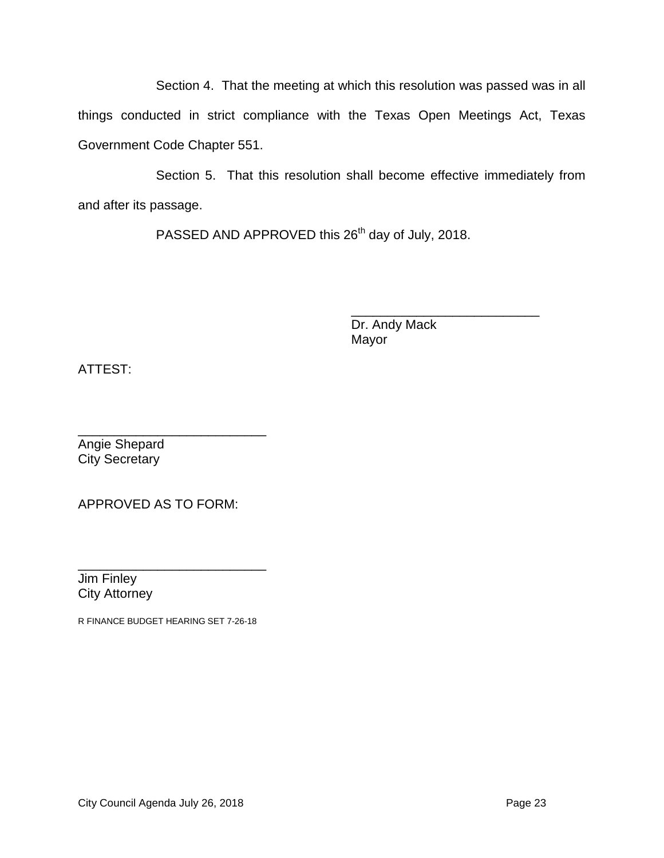Section 4. That the meeting at which this resolution was passed was in all things conducted in strict compliance with the Texas Open Meetings Act, Texas Government Code Chapter 551.

Section 5. That this resolution shall become effective immediately from and after its passage.

PASSED AND APPROVED this 26<sup>th</sup> day of July, 2018.

\_\_\_\_\_\_\_\_\_\_\_\_\_\_\_\_\_\_\_\_\_\_\_\_\_\_ Dr. Andy Mack Mayor

ATTEST:

\_\_\_\_\_\_\_\_\_\_\_\_\_\_\_\_\_\_\_\_\_\_\_\_\_\_ Angie Shepard City Secretary

APPROVED AS TO FORM:

\_\_\_\_\_\_\_\_\_\_\_\_\_\_\_\_\_\_\_\_\_\_\_\_\_\_ Jim Finley City Attorney

R FINANCE BUDGET HEARING SET 7-26-18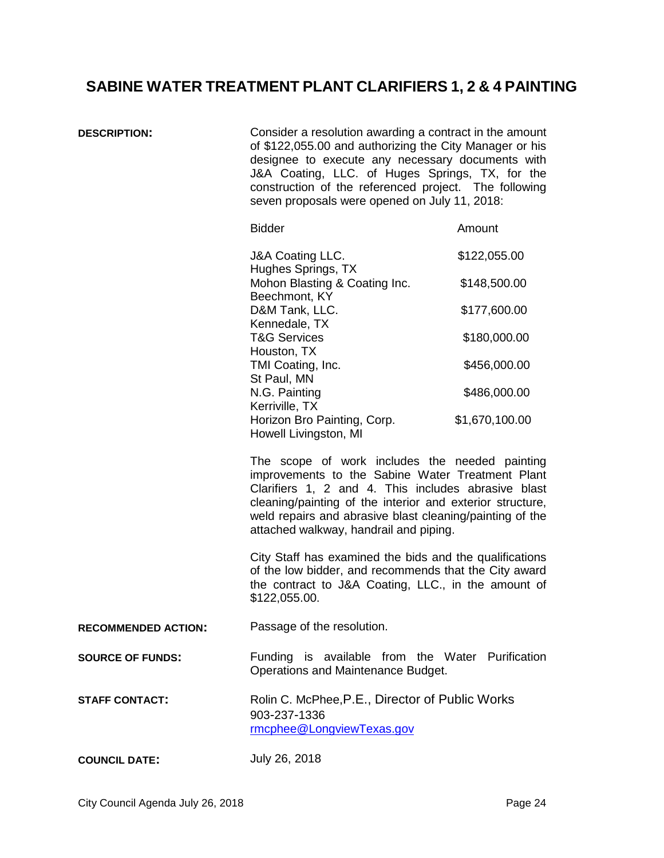# <span id="page-23-0"></span>**SABINE WATER TREATMENT PLANT CLARIFIERS 1, 2 & 4 PAINTING**

| <b>DESCRIPTION:</b>        | Consider a resolution awarding a contract in the amount<br>of \$122,055.00 and authorizing the City Manager or his<br>designee to execute any necessary documents with<br>J&A Coating, LLC. of Huges Springs, TX, for the<br>construction of the referenced project. The following<br>seven proposals were opened on July 11, 2018: |                |  |
|----------------------------|-------------------------------------------------------------------------------------------------------------------------------------------------------------------------------------------------------------------------------------------------------------------------------------------------------------------------------------|----------------|--|
|                            | <b>Bidder</b>                                                                                                                                                                                                                                                                                                                       | Amount         |  |
|                            | J&A Coating LLC.<br>Hughes Springs, TX                                                                                                                                                                                                                                                                                              | \$122,055.00   |  |
|                            | Mohon Blasting & Coating Inc.                                                                                                                                                                                                                                                                                                       | \$148,500.00   |  |
|                            | Beechmont, KY<br>D&M Tank, LLC.<br>Kennedale, TX                                                                                                                                                                                                                                                                                    | \$177,600.00   |  |
|                            | <b>T&amp;G Services</b><br>Houston, TX                                                                                                                                                                                                                                                                                              | \$180,000.00   |  |
|                            | TMI Coating, Inc.<br>St Paul, MN                                                                                                                                                                                                                                                                                                    | \$456,000.00   |  |
|                            | N.G. Painting<br>Kerriville, TX                                                                                                                                                                                                                                                                                                     | \$486,000.00   |  |
|                            | Horizon Bro Painting, Corp.<br>Howell Livingston, MI                                                                                                                                                                                                                                                                                | \$1,670,100.00 |  |
|                            | The scope of work includes the needed painting<br>improvements to the Sabine Water Treatment Plant<br>Clarifiers 1, 2 and 4. This includes abrasive blast<br>cleaning/painting of the interior and exterior structure,<br>weld repairs and abrasive blast cleaning/painting of the<br>attached walkway, handrail and piping.        |                |  |
|                            | City Staff has examined the bids and the qualifications<br>of the low bidder, and recommends that the City award<br>the contract to J&A Coating, LLC., in the amount of<br>\$122,055.00.                                                                                                                                            |                |  |
| <b>RECOMMENDED ACTION:</b> | Passage of the resolution.                                                                                                                                                                                                                                                                                                          |                |  |
| <b>SOURCE OF FUNDS:</b>    | Funding is available from the Water Purification<br>Operations and Maintenance Budget.                                                                                                                                                                                                                                              |                |  |
| <b>STAFF CONTACT:</b>      | Rolin C. McPhee, P.E., Director of Public Works<br>903-237-1336<br>rmcphee@LongviewTexas.gov                                                                                                                                                                                                                                        |                |  |
| <b>COUNCIL DATE:</b>       | July 26, 2018                                                                                                                                                                                                                                                                                                                       |                |  |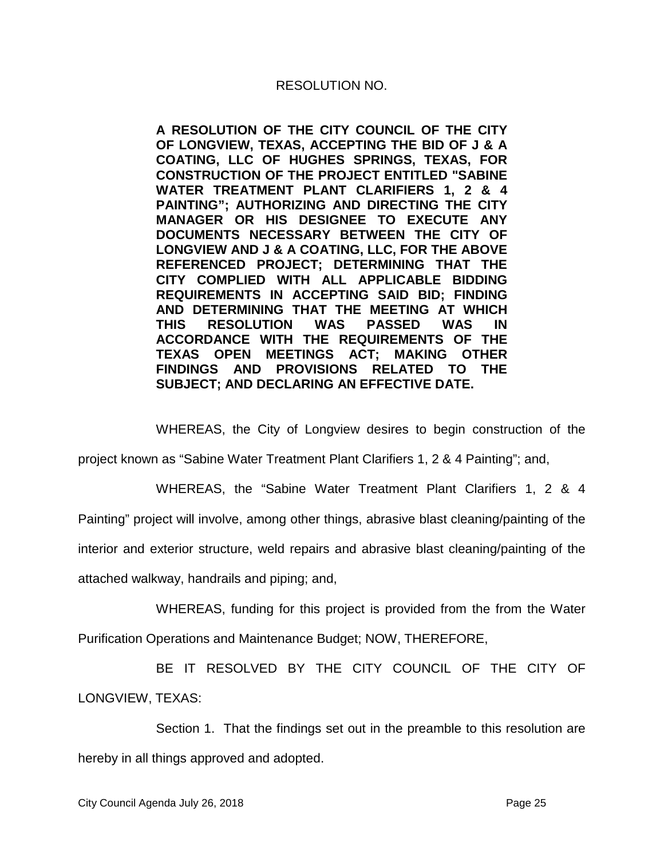**A RESOLUTION OF THE CITY COUNCIL OF THE CITY OF LONGVIEW, TEXAS, ACCEPTING THE BID OF J & A COATING, LLC OF HUGHES SPRINGS, TEXAS, FOR CONSTRUCTION OF THE PROJECT ENTITLED "SABINE WATER TREATMENT PLANT CLARIFIERS 1, 2 & 4 PAINTING"; AUTHORIZING AND DIRECTING THE CITY MANAGER OR HIS DESIGNEE TO EXECUTE ANY DOCUMENTS NECESSARY BETWEEN THE CITY OF LONGVIEW AND J & A COATING, LLC, FOR THE ABOVE REFERENCED PROJECT; DETERMINING THAT THE CITY COMPLIED WITH ALL APPLICABLE BIDDING REQUIREMENTS IN ACCEPTING SAID BID; FINDING AND DETERMINING THAT THE MEETING AT WHICH THIS RESOLUTION WAS PASSED WAS IN ACCORDANCE WITH THE REQUIREMENTS OF THE TEXAS OPEN MEETINGS ACT; MAKING OTHER FINDINGS AND PROVISIONS RELATED TO THE SUBJECT; AND DECLARING AN EFFECTIVE DATE.**

WHEREAS, the City of Longview desires to begin construction of the

project known as "Sabine Water Treatment Plant Clarifiers 1, 2 & 4 Painting"; and,

WHEREAS, the "Sabine Water Treatment Plant Clarifiers 1, 2 & 4 Painting" project will involve, among other things, abrasive blast cleaning/painting of the interior and exterior structure, weld repairs and abrasive blast cleaning/painting of the attached walkway, handrails and piping; and,

WHEREAS, funding for this project is provided from the from the Water Purification Operations and Maintenance Budget; NOW, THEREFORE,

BE IT RESOLVED BY THE CITY COUNCIL OF THE CITY OF LONGVIEW, TEXAS:

Section 1. That the findings set out in the preamble to this resolution are hereby in all things approved and adopted.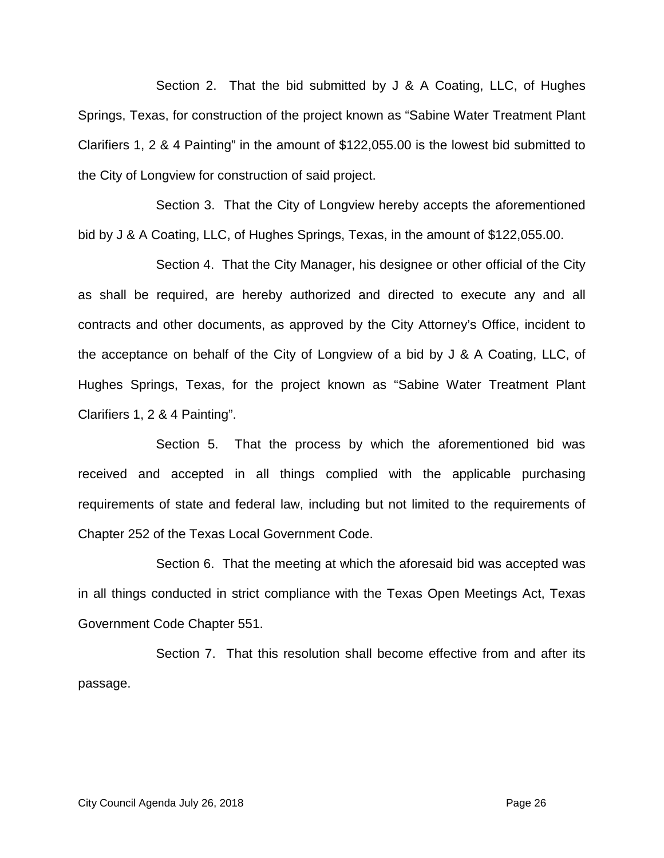Section 2. That the bid submitted by J & A Coating, LLC, of Hughes Springs, Texas, for construction of the project known as "Sabine Water Treatment Plant Clarifiers 1, 2 & 4 Painting" in the amount of \$122,055.00 is the lowest bid submitted to the City of Longview for construction of said project.

Section 3. That the City of Longview hereby accepts the aforementioned bid by J & A Coating, LLC, of Hughes Springs, Texas, in the amount of \$122,055.00.

Section 4. That the City Manager, his designee or other official of the City as shall be required, are hereby authorized and directed to execute any and all contracts and other documents, as approved by the City Attorney's Office, incident to the acceptance on behalf of the City of Longview of a bid by J & A Coating, LLC, of Hughes Springs, Texas, for the project known as "Sabine Water Treatment Plant Clarifiers 1, 2 & 4 Painting".

Section 5. That the process by which the aforementioned bid was received and accepted in all things complied with the applicable purchasing requirements of state and federal law, including but not limited to the requirements of Chapter 252 of the Texas Local Government Code.

Section 6. That the meeting at which the aforesaid bid was accepted was in all things conducted in strict compliance with the Texas Open Meetings Act, Texas Government Code Chapter 551.

Section 7. That this resolution shall become effective from and after its passage.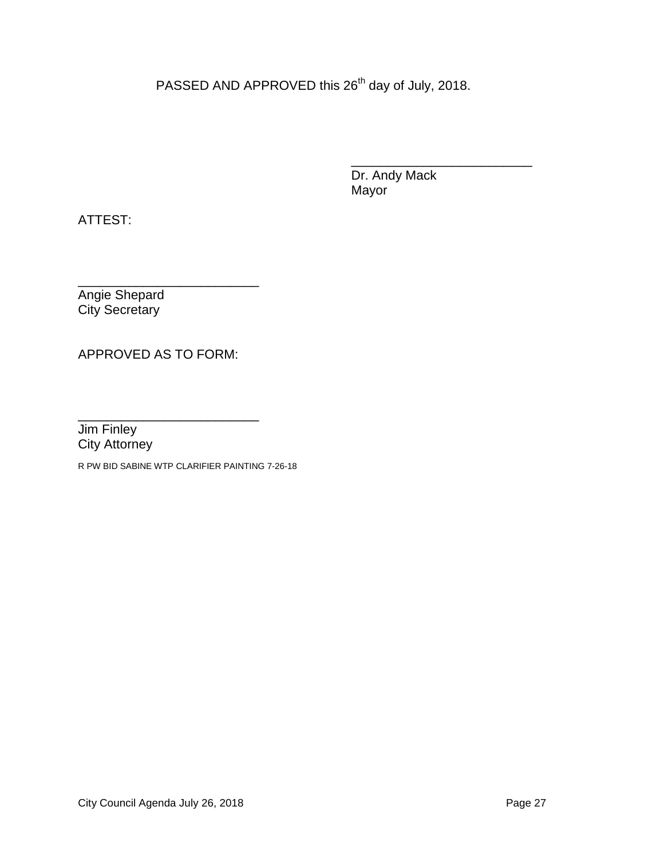PASSED AND APPROVED this 26<sup>th</sup> day of July, 2018.

\_\_\_\_\_\_\_\_\_\_\_\_\_\_\_\_\_\_\_\_\_\_\_\_\_ Dr. Andy Mack Mayor

ATTEST:

\_\_\_\_\_\_\_\_\_\_\_\_\_\_\_\_\_\_\_\_\_\_\_\_\_ Angie Shepard City Secretary

APPROVED AS TO FORM:

\_\_\_\_\_\_\_\_\_\_\_\_\_\_\_\_\_\_\_\_\_\_\_\_\_ Jim Finley City Attorney

R PW BID SABINE WTP CLARIFIER PAINTING 7-26-18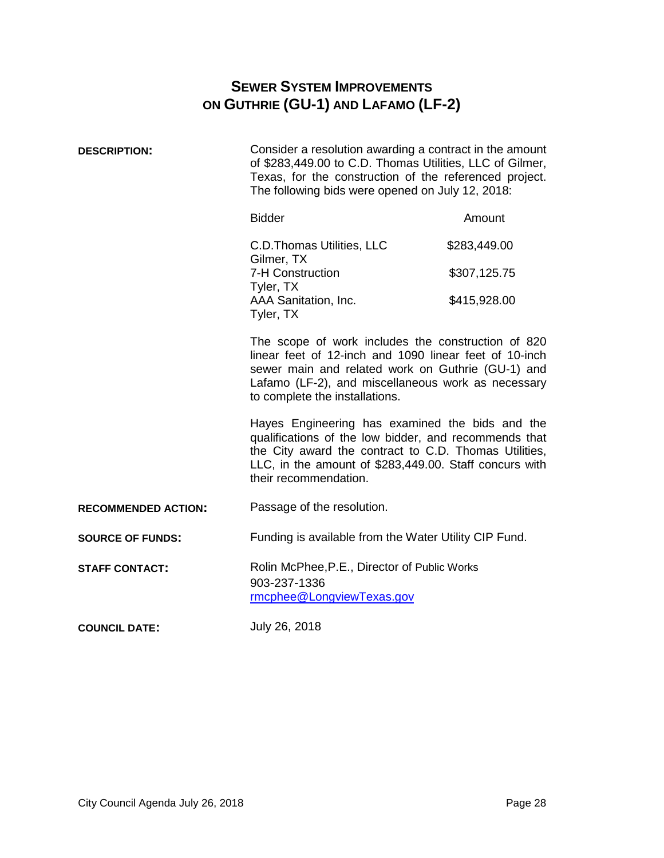## **SEWER SYSTEM IMPROVEMENTS ON GUTHRIE (GU-1) AND LAFAMO (LF-2)**

<span id="page-27-0"></span>

| <b>DESCRIPTION:</b>        | Consider a resolution awarding a contract in the amount<br>of \$283,449.00 to C.D. Thomas Utilities, LLC of Gilmer,<br>Texas, for the construction of the referenced project.<br>The following bids were opened on July 12, 2018:                         |              |  |
|----------------------------|-----------------------------------------------------------------------------------------------------------------------------------------------------------------------------------------------------------------------------------------------------------|--------------|--|
|                            | <b>Bidder</b>                                                                                                                                                                                                                                             | Amount       |  |
|                            | C.D. Thomas Utilities, LLC<br>Gilmer, TX                                                                                                                                                                                                                  | \$283,449.00 |  |
|                            | 7-H Construction<br>Tyler, TX                                                                                                                                                                                                                             | \$307,125.75 |  |
|                            | AAA Sanitation, Inc.<br>Tyler, TX                                                                                                                                                                                                                         | \$415,928.00 |  |
|                            | The scope of work includes the construction of 820<br>linear feet of 12-inch and 1090 linear feet of 10-inch<br>sewer main and related work on Guthrie (GU-1) and<br>Lafamo (LF-2), and miscellaneous work as necessary<br>to complete the installations. |              |  |
|                            | Hayes Engineering has examined the bids and the<br>qualifications of the low bidder, and recommends that<br>the City award the contract to C.D. Thomas Utilities,<br>LLC, in the amount of \$283,449.00. Staff concurs with<br>their recommendation.      |              |  |
| <b>RECOMMENDED ACTION:</b> | Passage of the resolution.                                                                                                                                                                                                                                |              |  |
| <b>SOURCE OF FUNDS:</b>    | Funding is available from the Water Utility CIP Fund.                                                                                                                                                                                                     |              |  |
| <b>STAFF CONTACT:</b>      | Rolin McPhee, P.E., Director of Public Works<br>903-237-1336<br>rmcphee@LongviewTexas.gov                                                                                                                                                                 |              |  |
| <b>COUNCIL DATE:</b>       | July 26, 2018                                                                                                                                                                                                                                             |              |  |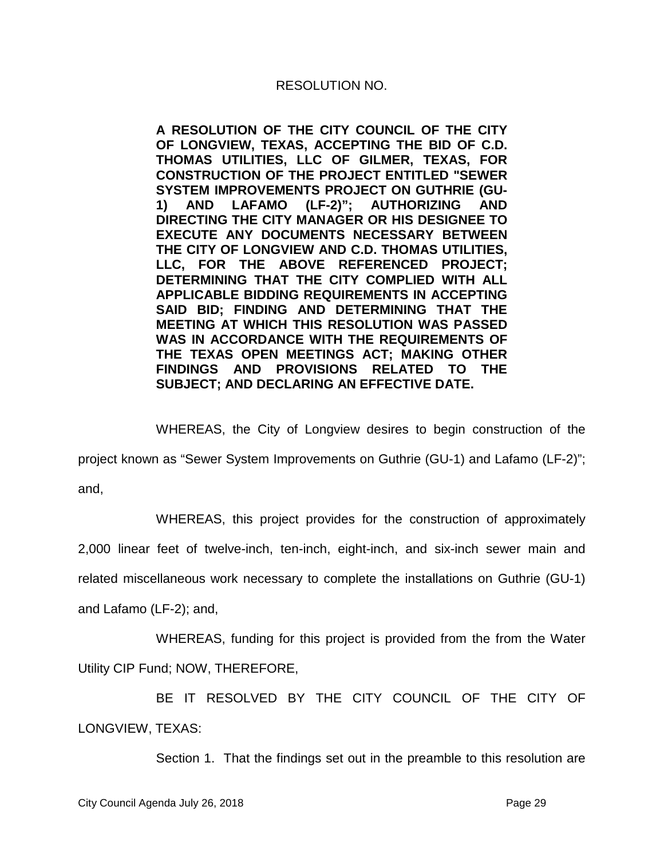**A RESOLUTION OF THE CITY COUNCIL OF THE CITY OF LONGVIEW, TEXAS, ACCEPTING THE BID OF C.D. THOMAS UTILITIES, LLC OF GILMER, TEXAS, FOR CONSTRUCTION OF THE PROJECT ENTITLED "SEWER SYSTEM IMPROVEMENTS PROJECT ON GUTHRIE (GU-1) AND LAFAMO (LF-2)"; AUTHORIZING AND DIRECTING THE CITY MANAGER OR HIS DESIGNEE TO EXECUTE ANY DOCUMENTS NECESSARY BETWEEN THE CITY OF LONGVIEW AND C.D. THOMAS UTILITIES, LLC, FOR THE ABOVE REFERENCED PROJECT; DETERMINING THAT THE CITY COMPLIED WITH ALL APPLICABLE BIDDING REQUIREMENTS IN ACCEPTING SAID BID; FINDING AND DETERMINING THAT THE MEETING AT WHICH THIS RESOLUTION WAS PASSED WAS IN ACCORDANCE WITH THE REQUIREMENTS OF THE TEXAS OPEN MEETINGS ACT; MAKING OTHER FINDINGS AND PROVISIONS RELATED TO THE SUBJECT; AND DECLARING AN EFFECTIVE DATE.**

WHEREAS, the City of Longview desires to begin construction of the

project known as "Sewer System Improvements on Guthrie (GU-1) and Lafamo (LF-2)";

and,

WHEREAS, this project provides for the construction of approximately

2,000 linear feet of twelve-inch, ten-inch, eight-inch, and six-inch sewer main and related miscellaneous work necessary to complete the installations on Guthrie (GU-1)

and Lafamo (LF-2); and,

WHEREAS, funding for this project is provided from the from the Water Utility CIP Fund; NOW, THEREFORE,

BE IT RESOLVED BY THE CITY COUNCIL OF THE CITY OF LONGVIEW, TEXAS:

Section 1. That the findings set out in the preamble to this resolution are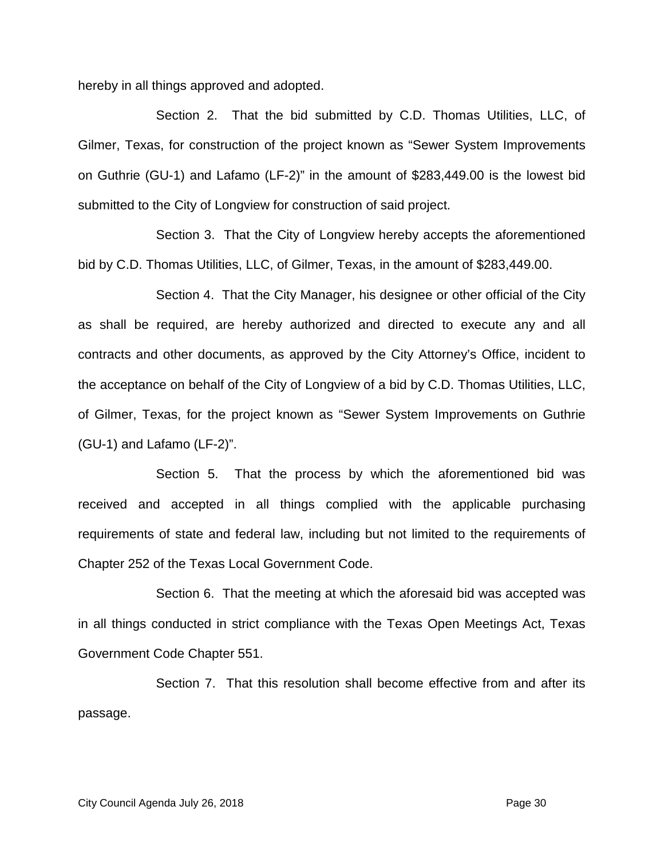hereby in all things approved and adopted.

Section 2. That the bid submitted by C.D. Thomas Utilities, LLC, of Gilmer, Texas, for construction of the project known as "Sewer System Improvements on Guthrie (GU-1) and Lafamo (LF-2)" in the amount of \$283,449.00 is the lowest bid submitted to the City of Longview for construction of said project.

Section 3. That the City of Longview hereby accepts the aforementioned bid by C.D. Thomas Utilities, LLC, of Gilmer, Texas, in the amount of \$283,449.00.

Section 4. That the City Manager, his designee or other official of the City as shall be required, are hereby authorized and directed to execute any and all contracts and other documents, as approved by the City Attorney's Office, incident to the acceptance on behalf of the City of Longview of a bid by C.D. Thomas Utilities, LLC, of Gilmer, Texas, for the project known as "Sewer System Improvements on Guthrie (GU-1) and Lafamo (LF-2)".

Section 5. That the process by which the aforementioned bid was received and accepted in all things complied with the applicable purchasing requirements of state and federal law, including but not limited to the requirements of Chapter 252 of the Texas Local Government Code.

Section 6. That the meeting at which the aforesaid bid was accepted was in all things conducted in strict compliance with the Texas Open Meetings Act, Texas Government Code Chapter 551.

Section 7. That this resolution shall become effective from and after its passage.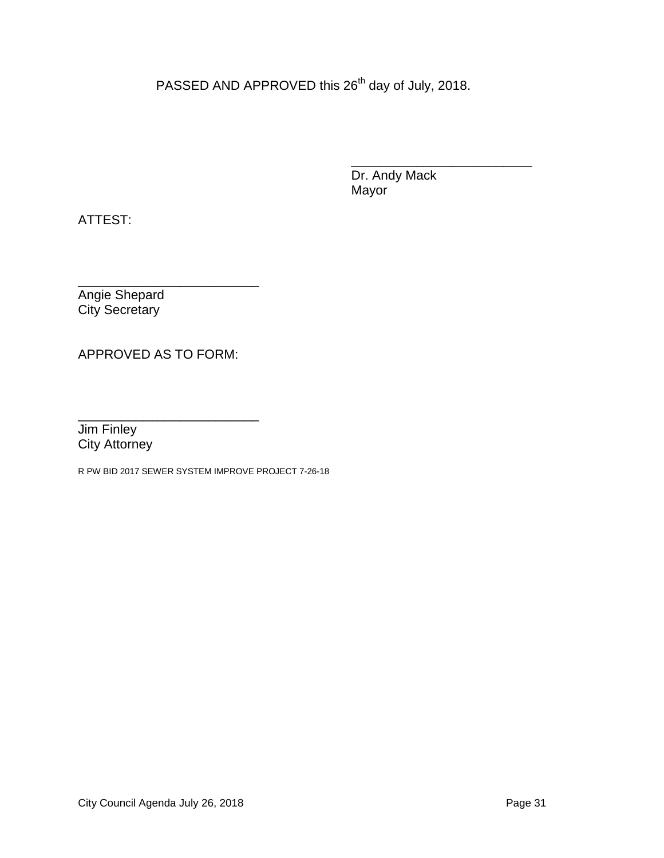PASSED AND APPROVED this 26<sup>th</sup> day of July, 2018.

\_\_\_\_\_\_\_\_\_\_\_\_\_\_\_\_\_\_\_\_\_\_\_\_\_ Dr. Andy Mack Mayor

ATTEST:

\_\_\_\_\_\_\_\_\_\_\_\_\_\_\_\_\_\_\_\_\_\_\_\_\_ Angie Shepard City Secretary

APPROVED AS TO FORM:

\_\_\_\_\_\_\_\_\_\_\_\_\_\_\_\_\_\_\_\_\_\_\_\_\_ Jim Finley City Attorney

R PW BID 2017 SEWER SYSTEM IMPROVE PROJECT 7-26-18